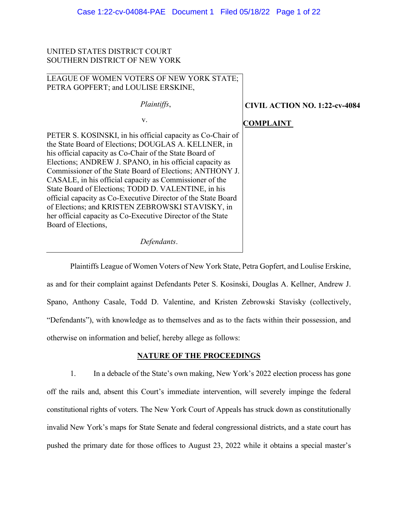# UNITED STATES DISTRICT COURT SOUTHERN DISTRICT OF NEW YORK

# LEAGUE OF WOMEN VOTERS OF NEW YORK STATE; PETRA GOPFERT; and LOULISE ERSKINE,

| <i>Plaintiffs,</i>                                                                                                                                                                                                                                                                                                                                                                                                                                                                                                                                                                                                                | <b>CIVIL ACTION NO. 1:22-cv-4084</b> |
|-----------------------------------------------------------------------------------------------------------------------------------------------------------------------------------------------------------------------------------------------------------------------------------------------------------------------------------------------------------------------------------------------------------------------------------------------------------------------------------------------------------------------------------------------------------------------------------------------------------------------------------|--------------------------------------|
| V.                                                                                                                                                                                                                                                                                                                                                                                                                                                                                                                                                                                                                                | <b>COMPLAINT</b>                     |
| PETER S. KOSINSKI, in his official capacity as Co-Chair of<br>the State Board of Elections; DOUGLAS A. KELLNER, in<br>his official capacity as Co-Chair of the State Board of<br>Elections; ANDREW J. SPANO, in his official capacity as<br>Commissioner of the State Board of Elections; ANTHONY J.<br>CASALE, in his official capacity as Commissioner of the<br>State Board of Elections; TODD D. VALENTINE, in his<br>official capacity as Co-Executive Director of the State Board<br>of Elections; and KRISTEN ZEBROWSKI STAVISKY, in<br>her official capacity as Co-Executive Director of the State<br>Board of Elections, |                                      |
| Defendants.                                                                                                                                                                                                                                                                                                                                                                                                                                                                                                                                                                                                                       |                                      |

Plaintiffs League of Women Voters of New York State, Petra Gopfert, and Loulise Erskine, as and for their complaint against Defendants Peter S. Kosinski, Douglas A. Kellner, Andrew J. Spano, Anthony Casale, Todd D. Valentine, and Kristen Zebrowski Stavisky (collectively, "Defendants"), with knowledge as to themselves and as to the facts within their possession, and otherwise on information and belief, hereby allege as follows:

# **NATURE OF THE PROCEEDINGS**

1. In a debacle of the State's own making, New York's 2022 election process has gone off the rails and, absent this Court's immediate intervention, will severely impinge the federal constitutional rights of voters. The New York Court of Appeals has struck down as constitutionally invalid New York's maps for State Senate and federal congressional districts, and a state court has pushed the primary date for those offices to August 23, 2022 while it obtains a special master's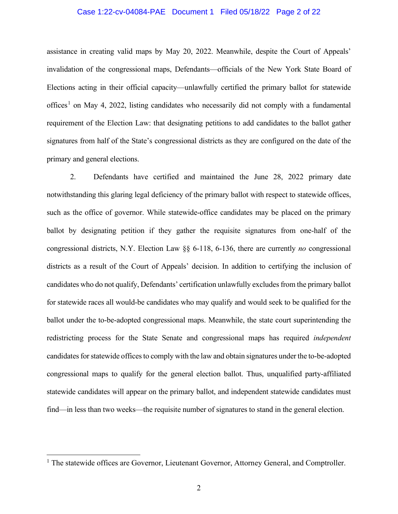#### Case 1:22-cv-04084-PAE Document 1 Filed 05/18/22 Page 2 of 22

assistance in creating valid maps by May 20, 2022. Meanwhile, despite the Court of Appeals' invalidation of the congressional maps, Defendants—officials of the New York State Board of Elections acting in their official capacity—unlawfully certified the primary ballot for statewide offices<sup>[1](#page-1-0)</sup> on May 4, 2022, listing candidates who necessarily did not comply with a fundamental requirement of the Election Law: that designating petitions to add candidates to the ballot gather signatures from half of the State's congressional districts as they are configured on the date of the primary and general elections.

2. Defendants have certified and maintained the June 28, 2022 primary date notwithstanding this glaring legal deficiency of the primary ballot with respect to statewide offices, such as the office of governor. While statewide-office candidates may be placed on the primary ballot by designating petition if they gather the requisite signatures from one-half of the congressional districts, N.Y. Election Law §§ 6-118, 6-136, there are currently *no* congressional districts as a result of the Court of Appeals' decision. In addition to certifying the inclusion of candidates who do not qualify, Defendants' certification unlawfully excludes from the primary ballot for statewide races all would-be candidates who may qualify and would seek to be qualified for the ballot under the to-be-adopted congressional maps. Meanwhile, the state court superintending the redistricting process for the State Senate and congressional maps has required *independent* candidates for statewide offices to comply with the law and obtain signatures under the to-be-adopted congressional maps to qualify for the general election ballot. Thus, unqualified party-affiliated statewide candidates will appear on the primary ballot, and independent statewide candidates must find—in less than two weeks—the requisite number of signatures to stand in the general election.

<span id="page-1-0"></span><sup>&</sup>lt;sup>1</sup> The statewide offices are Governor, Lieutenant Governor, Attorney General, and Comptroller.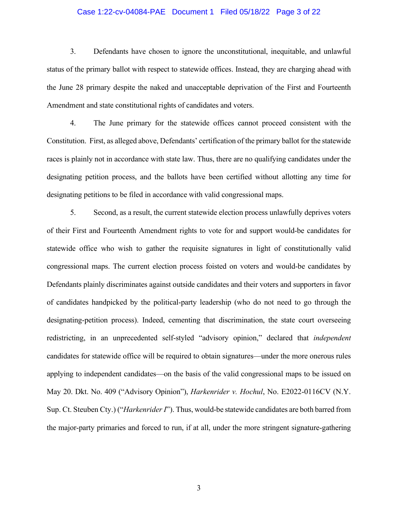#### Case 1:22-cv-04084-PAE Document 1 Filed 05/18/22 Page 3 of 22

3. Defendants have chosen to ignore the unconstitutional, inequitable, and unlawful status of the primary ballot with respect to statewide offices. Instead, they are charging ahead with the June 28 primary despite the naked and unacceptable deprivation of the First and Fourteenth Amendment and state constitutional rights of candidates and voters.

4. The June primary for the statewide offices cannot proceed consistent with the Constitution. First, as alleged above, Defendants' certification of the primary ballot for the statewide races is plainly not in accordance with state law. Thus, there are no qualifying candidates under the designating petition process, and the ballots have been certified without allotting any time for designating petitions to be filed in accordance with valid congressional maps.

5. Second, as a result, the current statewide election process unlawfully deprives voters of their First and Fourteenth Amendment rights to vote for and support would-be candidates for statewide office who wish to gather the requisite signatures in light of constitutionally valid congressional maps. The current election process foisted on voters and would-be candidates by Defendants plainly discriminates against outside candidates and their voters and supporters in favor of candidates handpicked by the political-party leadership (who do not need to go through the designating-petition process). Indeed, cementing that discrimination, the state court overseeing redistricting, in an unprecedented self-styled "advisory opinion," declared that *independent* candidates for statewide office will be required to obtain signatures—under the more onerous rules applying to independent candidates—on the basis of the valid congressional maps to be issued on May 20. Dkt. No. 409 ("Advisory Opinion"), *Harkenrider v. Hochul*, No. E2022-0116CV (N.Y. Sup. Ct. Steuben Cty.) ("*Harkenrider I*"). Thus, would-be statewide candidates are both barred from the major-party primaries and forced to run, if at all, under the more stringent signature-gathering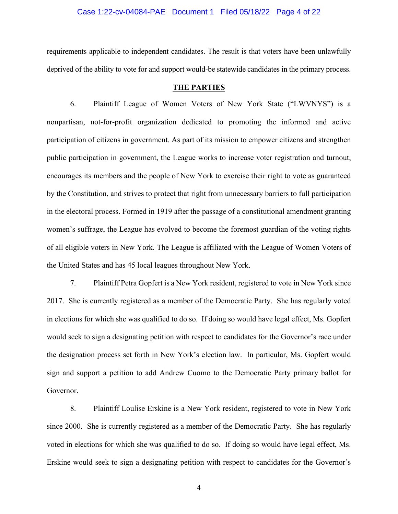#### Case 1:22-cv-04084-PAE Document 1 Filed 05/18/22 Page 4 of 22

requirements applicable to independent candidates. The result is that voters have been unlawfully deprived of the ability to vote for and support would-be statewide candidates in the primary process.

#### **THE PARTIES**

6. Plaintiff League of Women Voters of New York State ("LWVNYS") is a nonpartisan, not-for-profit organization dedicated to promoting the informed and active participation of citizens in government. As part of its mission to empower citizens and strengthen public participation in government, the League works to increase voter registration and turnout, encourages its members and the people of New York to exercise their right to vote as guaranteed by the Constitution, and strives to protect that right from unnecessary barriers to full participation in the electoral process. Formed in 1919 after the passage of a constitutional amendment granting women's suffrage, the League has evolved to become the foremost guardian of the voting rights of all eligible voters in New York. The League is affiliated with the League of Women Voters of the United States and has 45 local leagues throughout New York.

7. Plaintiff Petra Gopfert is a New York resident, registered to vote in New York since 2017. She is currently registered as a member of the Democratic Party. She has regularly voted in elections for which she was qualified to do so. If doing so would have legal effect, Ms. Gopfert would seek to sign a designating petition with respect to candidates for the Governor's race under the designation process set forth in New York's election law. In particular, Ms. Gopfert would sign and support a petition to add Andrew Cuomo to the Democratic Party primary ballot for Governor.

8. Plaintiff Loulise Erskine is a New York resident, registered to vote in New York since 2000. She is currently registered as a member of the Democratic Party. She has regularly voted in elections for which she was qualified to do so. If doing so would have legal effect, Ms. Erskine would seek to sign a designating petition with respect to candidates for the Governor's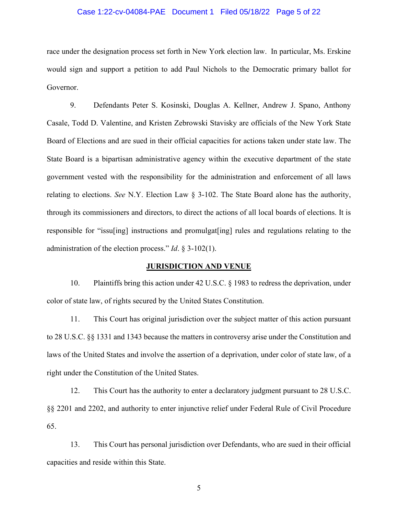#### Case 1:22-cv-04084-PAE Document 1 Filed 05/18/22 Page 5 of 22

race under the designation process set forth in New York election law. In particular, Ms. Erskine would sign and support a petition to add Paul Nichols to the Democratic primary ballot for Governor.

9. Defendants Peter S. Kosinski, Douglas A. Kellner, Andrew J. Spano, Anthony Casale, Todd D. Valentine, and Kristen Zebrowski Stavisky are officials of the New York State Board of Elections and are sued in their official capacities for actions taken under state law. The State Board is a bipartisan administrative agency within the executive department of the state government vested with the responsibility for the administration and enforcement of all laws relating to elections. *See* N.Y. Election Law § 3-102. The State Board alone has the authority, through its commissioners and directors, to direct the actions of all local boards of elections. It is responsible for "issu[ing] instructions and promulgat[ing] rules and regulations relating to the administration of the election process." *Id*. § 3-102(1).

#### **JURISDICTION AND VENUE**

10. Plaintiffs bring this action under 42 U.S.C. § 1983 to redress the deprivation, under color of state law, of rights secured by the United States Constitution.

11. This Court has original jurisdiction over the subject matter of this action pursuant to 28 U.S.C. §§ 1331 and 1343 because the matters in controversy arise under the Constitution and laws of the United States and involve the assertion of a deprivation, under color of state law, of a right under the Constitution of the United States.

12. This Court has the authority to enter a declaratory judgment pursuant to 28 U.S.C. §§ 2201 and 2202, and authority to enter injunctive relief under Federal Rule of Civil Procedure 65.

13. This Court has personal jurisdiction over Defendants, who are sued in their official capacities and reside within this State.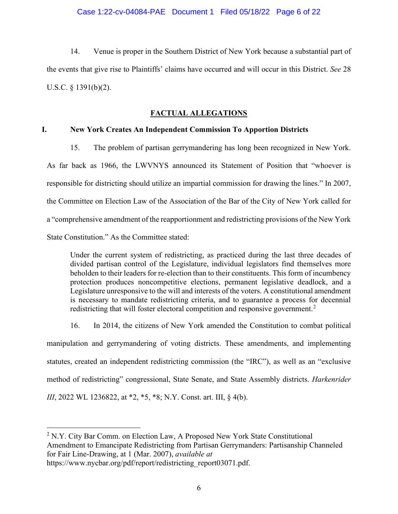14. Venue is proper in the Southern District of New York because a substantial part of the events that give rise to Plaintiffs' claims have occurred and will occur in this District. *See* 28 U.S.C. § 1391(b)(2).

# **FACTUAL ALLEGATIONS**

## **I. New York Creates An Independent Commission To Apportion Districts**

15. The problem of partisan gerrymandering has long been recognized in New York. As far back as 1966, the LWVNYS announced its Statement of Position that "whoever is responsible for districting should utilize an impartial commission for drawing the lines." In 2007, the Committee on Election Law of the Association of the Bar of the City of New York called for a "comprehensive amendment of the reapportionment and redistricting provisions of the New York State Constitution." As the Committee stated:

Under the current system of redistricting, as practiced during the last three decades of divided partisan control of the Legislature, individual legislators find themselves more beholden to their leaders for re-election than to their constituents. This form of incumbency protection produces noncompetitive elections, permanent legislative deadlock, and a Legislature unresponsive to the will and interests of the voters. A constitutional amendment is necessary to mandate redistricting criteria, and to guarantee a process for decennial redistricting that will foster electoral competition and responsive government.<sup>[2](#page-5-0)</sup>

16. In 2014, the citizens of New York amended the Constitution to combat political

manipulation and gerrymandering of voting districts. These amendments, and implementing statutes, created an independent redistricting commission (the "IRC"), as well as an "exclusive method of redistricting" congressional, State Senate, and State Assembly districts. *Harkenrider III*, 2022 WL 1236822, at \*2, \*5, \*8; N.Y. Const. art. III, § 4(b).

<span id="page-5-0"></span> $2$  N.Y. City Bar Comm. on Election Law, A Proposed New York State Constitutional Amendment to Emancipate Redistricting from Partisan Gerrymanders: Partisanship Channeled for Fair Line‐Drawing, at 1 (Mar. 2007), *available at* https://www.nycbar.org/pdf/report/redistricting\_report03071.pdf.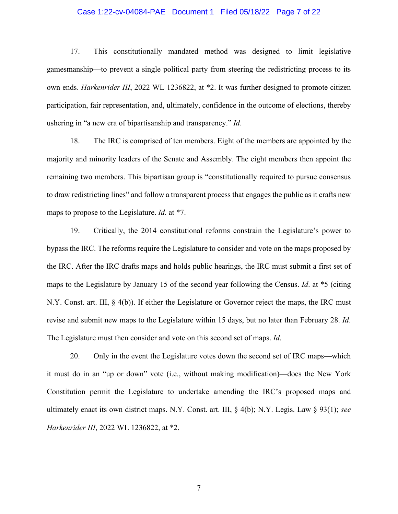#### Case 1:22-cv-04084-PAE Document 1 Filed 05/18/22 Page 7 of 22

17. This constitutionally mandated method was designed to limit legislative gamesmanship—to prevent a single political party from steering the redistricting process to its own ends. *Harkenrider III*, 2022 WL 1236822, at \*2. It was further designed to promote citizen participation, fair representation, and, ultimately, confidence in the outcome of elections, thereby ushering in "a new era of bipartisanship and transparency." *Id*.

18. The IRC is comprised of ten members. Eight of the members are appointed by the majority and minority leaders of the Senate and Assembly. The eight members then appoint the remaining two members. This bipartisan group is "constitutionally required to pursue consensus to draw redistricting lines" and follow a transparent process that engages the public as it crafts new maps to propose to the Legislature. *Id*. at \*7.

19. Critically, the 2014 constitutional reforms constrain the Legislature's power to bypass the IRC. The reforms require the Legislature to consider and vote on the maps proposed by the IRC. After the IRC drafts maps and holds public hearings, the IRC must submit a first set of maps to the Legislature by January 15 of the second year following the Census. *Id*. at \*5 (citing N.Y. Const. art. III, § 4(b)). If either the Legislature or Governor reject the maps, the IRC must revise and submit new maps to the Legislature within 15 days, but no later than February 28. *Id*. The Legislature must then consider and vote on this second set of maps. *Id*.

20. Only in the event the Legislature votes down the second set of IRC maps—which it must do in an "up or down" vote (i.e., without making modification)—does the New York Constitution permit the Legislature to undertake amending the IRC's proposed maps and ultimately enact its own district maps. N.Y. Const. art. III, § 4(b); N.Y. Legis. Law § 93(1); *see Harkenrider III*, 2022 WL 1236822, at \*2.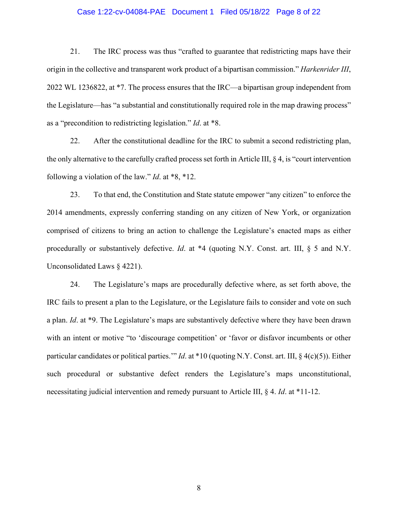#### Case 1:22-cv-04084-PAE Document 1 Filed 05/18/22 Page 8 of 22

21. The IRC process was thus "crafted to guarantee that redistricting maps have their origin in the collective and transparent work product of a bipartisan commission." *Harkenrider III*, 2022 WL 1236822, at \*7. The process ensures that the IRC—a bipartisan group independent from the Legislature—has "a substantial and constitutionally required role in the map drawing process" as a "precondition to redistricting legislation." *Id*. at \*8.

22. After the constitutional deadline for the IRC to submit a second redistricting plan, the only alternative to the carefully crafted process set forth in Article III, § 4, is "court intervention following a violation of the law." *Id*. at \*8, \*12.

23. To that end, the Constitution and State statute empower "any citizen" to enforce the 2014 amendments, expressly conferring standing on any citizen of New York, or organization comprised of citizens to bring an action to challenge the Legislature's enacted maps as either procedurally or substantively defective. *Id*. at \*4 (quoting N.Y. Const. art. III, § 5 and N.Y. Unconsolidated Laws § 4221).

24. The Legislature's maps are procedurally defective where, as set forth above, the IRC fails to present a plan to the Legislature, or the Legislature fails to consider and vote on such a plan. *Id*. at \*9. The Legislature's maps are substantively defective where they have been drawn with an intent or motive "to 'discourage competition' or 'favor or disfavor incumbents or other particular candidates or political parties.'" *Id*. at \*10 (quoting N.Y. Const. art. III, § 4(c)(5)). Either such procedural or substantive defect renders the Legislature's maps unconstitutional, necessitating judicial intervention and remedy pursuant to Article III, § 4. *Id*. at \*11-12.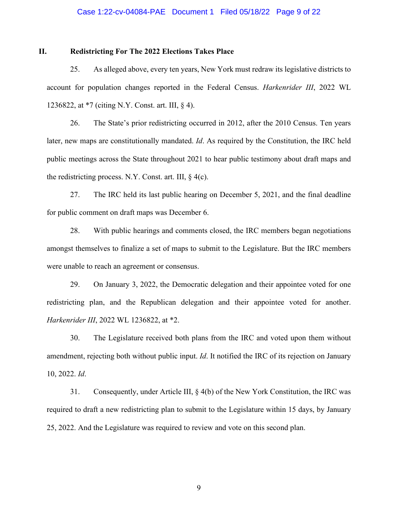#### Case 1:22-cv-04084-PAE Document 1 Filed 05/18/22 Page 9 of 22

## **II. Redistricting For The 2022 Elections Takes Place**

25. As alleged above, every ten years, New York must redraw its legislative districts to account for population changes reported in the Federal Census. *Harkenrider III*, 2022 WL 1236822, at \*7 (citing N.Y. Const. art. III, § 4).

26. The State's prior redistricting occurred in 2012, after the 2010 Census. Ten years later, new maps are constitutionally mandated. *Id*. As required by the Constitution, the IRC held public meetings across the State throughout 2021 to hear public testimony about draft maps and the redistricting process. N.Y. Const. art. III,  $\S$  4(c).

27. The IRC held its last public hearing on December 5, 2021, and the final deadline for public comment on draft maps was December 6.

28. With public hearings and comments closed, the IRC members began negotiations amongst themselves to finalize a set of maps to submit to the Legislature. But the IRC members were unable to reach an agreement or consensus.

29. On January 3, 2022, the Democratic delegation and their appointee voted for one redistricting plan, and the Republican delegation and their appointee voted for another. *Harkenrider III*, 2022 WL 1236822, at \*2.

30. The Legislature received both plans from the IRC and voted upon them without amendment, rejecting both without public input. *Id*. It notified the IRC of its rejection on January 10, 2022. *Id*.

31. Consequently, under Article III, § 4(b) of the New York Constitution, the IRC was required to draft a new redistricting plan to submit to the Legislature within 15 days, by January 25, 2022. And the Legislature was required to review and vote on this second plan.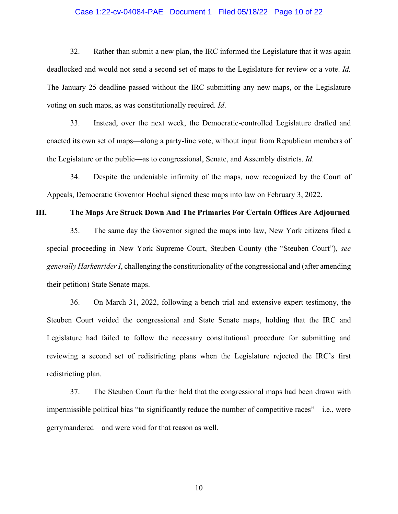#### Case 1:22-cv-04084-PAE Document 1 Filed 05/18/22 Page 10 of 22

32. Rather than submit a new plan, the IRC informed the Legislature that it was again deadlocked and would not send a second set of maps to the Legislature for review or a vote. *Id.* The January 25 deadline passed without the IRC submitting any new maps, or the Legislature voting on such maps, as was constitutionally required. *Id*.

33. Instead, over the next week, the Democratic-controlled Legislature drafted and enacted its own set of maps—along a party-line vote, without input from Republican members of the Legislature or the public—as to congressional, Senate, and Assembly districts. *Id*.

34. Despite the undeniable infirmity of the maps, now recognized by the Court of Appeals, Democratic Governor Hochul signed these maps into law on February 3, 2022.

### **III. The Maps Are Struck Down And The Primaries For Certain Offices Are Adjourned**

35. The same day the Governor signed the maps into law, New York citizens filed a special proceeding in New York Supreme Court, Steuben County (the "Steuben Court"), *see generally Harkenrider I*, challenging the constitutionality of the congressional and (after amending their petition) State Senate maps.

36. On March 31, 2022, following a bench trial and extensive expert testimony, the Steuben Court voided the congressional and State Senate maps, holding that the IRC and Legislature had failed to follow the necessary constitutional procedure for submitting and reviewing a second set of redistricting plans when the Legislature rejected the IRC's first redistricting plan.

37. The Steuben Court further held that the congressional maps had been drawn with impermissible political bias "to significantly reduce the number of competitive races"—i.e., were gerrymandered—and were void for that reason as well.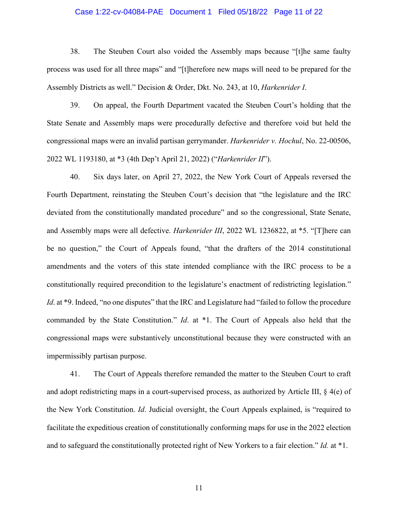#### Case 1:22-cv-04084-PAE Document 1 Filed 05/18/22 Page 11 of 22

38. The Steuben Court also voided the Assembly maps because "[t]he same faulty process was used for all three maps" and "[t]herefore new maps will need to be prepared for the Assembly Districts as well." Decision & Order, Dkt. No. 243, at 10, *Harkenrider I*.

39. On appeal, the Fourth Department vacated the Steuben Court's holding that the State Senate and Assembly maps were procedurally defective and therefore void but held the congressional maps were an invalid partisan gerrymander. *Harkenrider v. Hochul*, No. 22-00506, 2022 WL 1193180, at \*3 (4th Dep't April 21, 2022) ("*Harkenrider II*").

40. Six days later, on April 27, 2022, the New York Court of Appeals reversed the Fourth Department, reinstating the Steuben Court's decision that "the legislature and the IRC deviated from the constitutionally mandated procedure" and so the congressional, State Senate, and Assembly maps were all defective. *Harkenrider III*, 2022 WL 1236822, at \*5. "[T]here can be no question," the Court of Appeals found, "that the drafters of the 2014 constitutional amendments and the voters of this state intended compliance with the IRC process to be a constitutionally required precondition to the legislature's enactment of redistricting legislation." *Id.* at \*9. Indeed, "no one disputes" that the IRC and Legislature had "failed to follow the procedure commanded by the State Constitution." *Id*. at \*1. The Court of Appeals also held that the congressional maps were substantively unconstitutional because they were constructed with an impermissibly partisan purpose.

41. The Court of Appeals therefore remanded the matter to the Steuben Court to craft and adopt redistricting maps in a court-supervised process, as authorized by Article III, § 4(e) of the New York Constitution. *Id*. Judicial oversight, the Court Appeals explained, is "required to facilitate the expeditious creation of constitutionally conforming maps for use in the 2022 election and to safeguard the constitutionally protected right of New Yorkers to a fair election." *Id.* at \*1.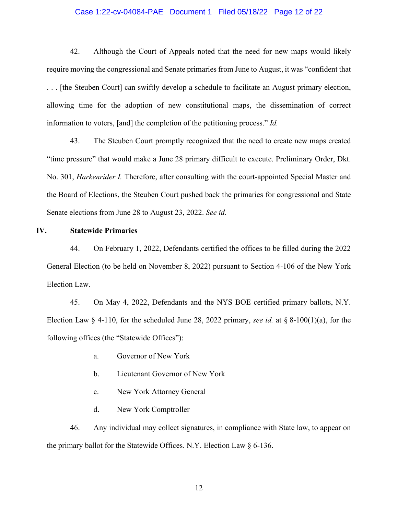#### Case 1:22-cv-04084-PAE Document 1 Filed 05/18/22 Page 12 of 22

42. Although the Court of Appeals noted that the need for new maps would likely require moving the congressional and Senate primaries from June to August, it was "confident that . . . [the Steuben Court] can swiftly develop a schedule to facilitate an August primary election, allowing time for the adoption of new constitutional maps, the dissemination of correct information to voters, [and] the completion of the petitioning process." *Id.* 

43. The Steuben Court promptly recognized that the need to create new maps created "time pressure" that would make a June 28 primary difficult to execute. Preliminary Order, Dkt. No. 301, *Harkenrider I.* Therefore, after consulting with the court-appointed Special Master and the Board of Elections, the Steuben Court pushed back the primaries for congressional and State Senate elections from June 28 to August 23, 2022. *See id.*

#### **IV. Statewide Primaries**

44. On February 1, 2022, Defendants certified the offices to be filled during the 2022 General Election (to be held on November 8, 2022) pursuant to Section 4-106 of the New York Election Law.

45. On May 4, 2022, Defendants and the NYS BOE certified primary ballots, N.Y. Election Law § 4-110, for the scheduled June 28, 2022 primary, *see id.* at § 8-100(1)(a), for the following offices (the "Statewide Offices"):

- a. Governor of New York
- b. Lieutenant Governor of New York
- c. New York Attorney General
- d. New York Comptroller

46. Any individual may collect signatures, in compliance with State law, to appear on the primary ballot for the Statewide Offices. N.Y. Election Law § 6-136.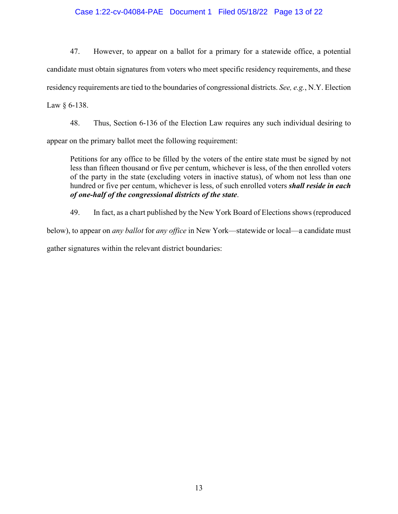# Case 1:22-cv-04084-PAE Document 1 Filed 05/18/22 Page 13 of 22

47. However, to appear on a ballot for a primary for a statewide office, a potential candidate must obtain signatures from voters who meet specific residency requirements, and these residency requirements are tied to the boundaries of congressional districts. *See, e.g.*, N.Y. Election Law § 6-138.

48. Thus, Section 6-136 of the Election Law requires any such individual desiring to

appear on the primary ballot meet the following requirement:

Petitions for any office to be filled by the voters of the entire state must be signed by not less than fifteen thousand or five per centum, whichever is less, of the then enrolled voters of the party in the state (excluding voters in inactive status), of whom not less than one hundred or five per centum, whichever is less, of such enrolled voters *shall reside in each of one-half of the congressional districts of the state*.

49. In fact, as a chart published by the New York Board of Elections shows (reproduced

below), to appear on *any ballot* for *any office* in New York—statewide or local—a candidate must

gather signatures within the relevant district boundaries: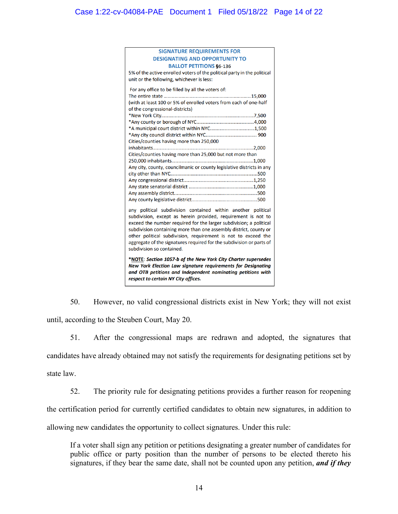| <b>SIGNATURE REQUIREMENTS FOR</b>                                                                                                                                                                                                                                                                                                                                                                                                              |  |
|------------------------------------------------------------------------------------------------------------------------------------------------------------------------------------------------------------------------------------------------------------------------------------------------------------------------------------------------------------------------------------------------------------------------------------------------|--|
| <b>DESIGNATING AND OPPORTUNITY TO</b>                                                                                                                                                                                                                                                                                                                                                                                                          |  |
| <b>BALLOT PETITIONS §6-136</b>                                                                                                                                                                                                                                                                                                                                                                                                                 |  |
| 5% of the active enrolled voters of the political party in the political                                                                                                                                                                                                                                                                                                                                                                       |  |
| unit or the following, whichever is less:                                                                                                                                                                                                                                                                                                                                                                                                      |  |
|                                                                                                                                                                                                                                                                                                                                                                                                                                                |  |
| For any office to be filled by all the voters of:                                                                                                                                                                                                                                                                                                                                                                                              |  |
|                                                                                                                                                                                                                                                                                                                                                                                                                                                |  |
| (with at least 100 or 5% of enrolled voters from each of one-half                                                                                                                                                                                                                                                                                                                                                                              |  |
| of the congressional-districts)                                                                                                                                                                                                                                                                                                                                                                                                                |  |
|                                                                                                                                                                                                                                                                                                                                                                                                                                                |  |
|                                                                                                                                                                                                                                                                                                                                                                                                                                                |  |
| *A municipal court district within NYC1,500                                                                                                                                                                                                                                                                                                                                                                                                    |  |
|                                                                                                                                                                                                                                                                                                                                                                                                                                                |  |
| Cities/counties having more than 250,000                                                                                                                                                                                                                                                                                                                                                                                                       |  |
|                                                                                                                                                                                                                                                                                                                                                                                                                                                |  |
| Cities/counties having more than 25,000 but not more than                                                                                                                                                                                                                                                                                                                                                                                      |  |
|                                                                                                                                                                                                                                                                                                                                                                                                                                                |  |
| Any city, county, councilmanic or county legislative districts in any                                                                                                                                                                                                                                                                                                                                                                          |  |
|                                                                                                                                                                                                                                                                                                                                                                                                                                                |  |
|                                                                                                                                                                                                                                                                                                                                                                                                                                                |  |
|                                                                                                                                                                                                                                                                                                                                                                                                                                                |  |
|                                                                                                                                                                                                                                                                                                                                                                                                                                                |  |
|                                                                                                                                                                                                                                                                                                                                                                                                                                                |  |
| any political subdivision contained within another political<br>subdivision, except as herein provided, requirement is not to<br>exceed the number required for the larger subdivision; a political<br>subdivision containing more than one assembly district, county or<br>other political subdivision, requirement is not to exceed the<br>aggregate of the signatures required for the subdivision or parts of<br>subdivision so contained. |  |
| .                                                                                                                                                                                                                                                                                                                                                                                                                                              |  |

\*NOTE: Section 1057-b of the New York City Charter supersedes New York Election Law signature requirements for Designating and OTB petitions and Independent nominating petitions with respect to certain NY City offices.

50. However, no valid congressional districts exist in New York; they will not exist until, according to the Steuben Court, May 20.

51. After the congressional maps are redrawn and adopted, the signatures that candidates have already obtained may not satisfy the requirements for designating petitions set by state law.

52. The priority rule for designating petitions provides a further reason for reopening the certification period for currently certified candidates to obtain new signatures, in addition to allowing new candidates the opportunity to collect signatures. Under this rule:

If a voter shall sign any petition or petitions designating a greater number of candidates for public office or party position than the number of persons to be elected thereto his signatures, if they bear the same date, shall not be counted upon any petition, *and if they*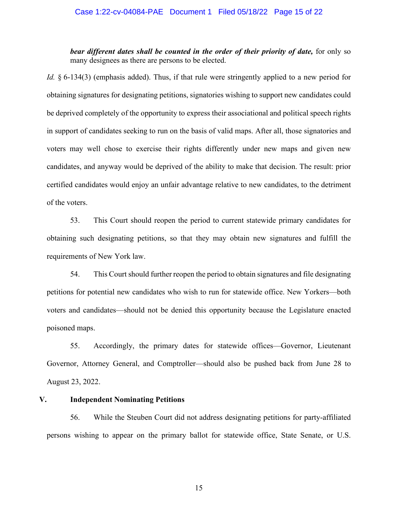*bear different dates shall be counted in the order of their priority of date,* for only so many designees as there are persons to be elected.

*Id.* § 6-134(3) (emphasis added). Thus, if that rule were stringently applied to a new period for obtaining signatures for designating petitions, signatories wishing to support new candidates could be deprived completely of the opportunity to express their associational and political speech rights in support of candidates seeking to run on the basis of valid maps. After all, those signatories and voters may well chose to exercise their rights differently under new maps and given new candidates, and anyway would be deprived of the ability to make that decision. The result: prior certified candidates would enjoy an unfair advantage relative to new candidates, to the detriment of the voters.

53. This Court should reopen the period to current statewide primary candidates for obtaining such designating petitions, so that they may obtain new signatures and fulfill the requirements of New York law.

54. This Court should further reopen the period to obtain signatures and file designating petitions for potential new candidates who wish to run for statewide office. New Yorkers—both voters and candidates—should not be denied this opportunity because the Legislature enacted poisoned maps.

55. Accordingly, the primary dates for statewide offices—Governor, Lieutenant Governor, Attorney General, and Comptroller—should also be pushed back from June 28 to August 23, 2022.

### **V. Independent Nominating Petitions**

56. While the Steuben Court did not address designating petitions for party-affiliated persons wishing to appear on the primary ballot for statewide office, State Senate, or U.S.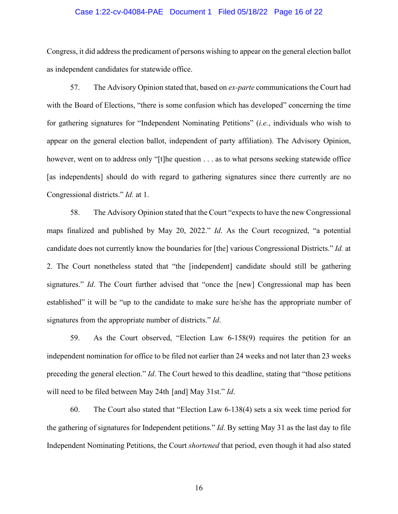#### Case 1:22-cv-04084-PAE Document 1 Filed 05/18/22 Page 16 of 22

Congress, it did address the predicament of persons wishing to appear on the general election ballot as independent candidates for statewide office.

57. The Advisory Opinion stated that, based on *ex-parte* communications the Court had with the Board of Elections, "there is some confusion which has developed" concerning the time for gathering signatures for "Independent Nominating Petitions" (*i.e.*, individuals who wish to appear on the general election ballot, independent of party affiliation). The Advisory Opinion, however, went on to address only "[t]he question . . . as to what persons seeking statewide office [as independents] should do with regard to gathering signatures since there currently are no Congressional districts." *Id.* at 1.

58. The Advisory Opinion stated that the Court "expects to have the new Congressional maps finalized and published by May 20, 2022." *Id*. As the Court recognized, "a potential candidate does not currently know the boundaries for [the] various Congressional Districts." *Id.* at 2. The Court nonetheless stated that "the [independent] candidate should still be gathering signatures." *Id*. The Court further advised that "once the [new] Congressional map has been established" it will be "up to the candidate to make sure he/she has the appropriate number of signatures from the appropriate number of districts." *Id*.

59. As the Court observed, "Election Law 6-158(9) requires the petition for an independent nomination for office to be filed not earlier than 24 weeks and not later than 23 weeks preceding the general election." *Id*. The Court hewed to this deadline, stating that "those petitions will need to be filed between May 24th [and] May 31st." *Id*.

60. The Court also stated that "Election Law 6-138(4) sets a six week time period for the gathering of signatures for Independent petitions." *Id*. By setting May 31 as the last day to file Independent Nominating Petitions, the Court *shortened* that period, even though it had also stated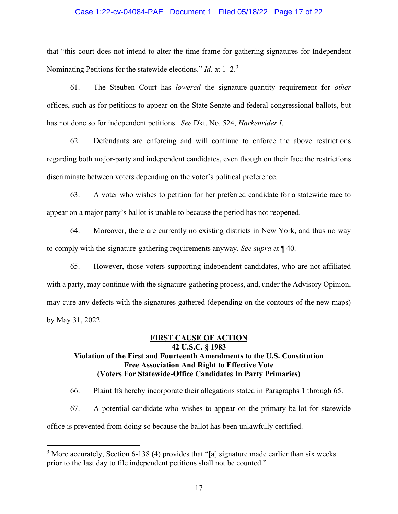#### Case 1:22-cv-04084-PAE Document 1 Filed 05/18/22 Page 17 of 22

that "this court does not intend to alter the time frame for gathering signatures for Independent Nominating Petitions for the statewide elections." *Id.* at 1–2.[3](#page-16-0)

61. The Steuben Court has *lowered* the signature-quantity requirement for *other* offices, such as for petitions to appear on the State Senate and federal congressional ballots, but has not done so for independent petitions. *See* Dkt. No. 524, *Harkenrider I*.

62. Defendants are enforcing and will continue to enforce the above restrictions regarding both major-party and independent candidates, even though on their face the restrictions discriminate between voters depending on the voter's political preference.

63. A voter who wishes to petition for her preferred candidate for a statewide race to appear on a major party's ballot is unable to because the period has not reopened.

64. Moreover, there are currently no existing districts in New York, and thus no way to comply with the signature-gathering requirements anyway. *See supra* at ¶ 40.

65. However, those voters supporting independent candidates, who are not affiliated with a party, may continue with the signature-gathering process, and, under the Advisory Opinion, may cure any defects with the signatures gathered (depending on the contours of the new maps) by May 31, 2022.

## **FIRST CAUSE OF ACTION**

# **42 U.S.C. § 1983 Violation of the First and Fourteenth Amendments to the U.S. Constitution Free Association And Right to Effective Vote (Voters For Statewide-Office Candidates In Party Primaries)**

66. Plaintiffs hereby incorporate their allegations stated in Paragraphs 1 through 65.

67. A potential candidate who wishes to appear on the primary ballot for statewide office is prevented from doing so because the ballot has been unlawfully certified.

<span id="page-16-0"></span> $3$  More accurately, Section 6-138 (4) provides that "[a] signature made earlier than six weeks prior to the last day to file independent petitions shall not be counted."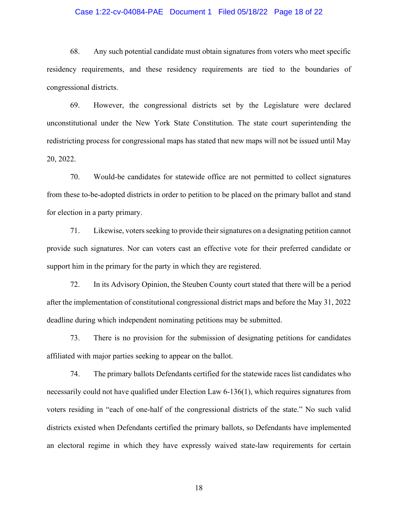#### Case 1:22-cv-04084-PAE Document 1 Filed 05/18/22 Page 18 of 22

68. Any such potential candidate must obtain signatures from voters who meet specific residency requirements, and these residency requirements are tied to the boundaries of congressional districts.

69. However, the congressional districts set by the Legislature were declared unconstitutional under the New York State Constitution. The state court superintending the redistricting process for congressional maps has stated that new maps will not be issued until May 20, 2022.

70. Would-be candidates for statewide office are not permitted to collect signatures from these to-be-adopted districts in order to petition to be placed on the primary ballot and stand for election in a party primary.

71. Likewise, voters seeking to provide their signatures on a designating petition cannot provide such signatures. Nor can voters cast an effective vote for their preferred candidate or support him in the primary for the party in which they are registered.

72. In its Advisory Opinion, the Steuben County court stated that there will be a period after the implementation of constitutional congressional district maps and before the May 31, 2022 deadline during which independent nominating petitions may be submitted.

73. There is no provision for the submission of designating petitions for candidates affiliated with major parties seeking to appear on the ballot.

74. The primary ballots Defendants certified for the statewide races list candidates who necessarily could not have qualified under Election Law 6-136(1), which requires signatures from voters residing in "each of one-half of the congressional districts of the state." No such valid districts existed when Defendants certified the primary ballots, so Defendants have implemented an electoral regime in which they have expressly waived state-law requirements for certain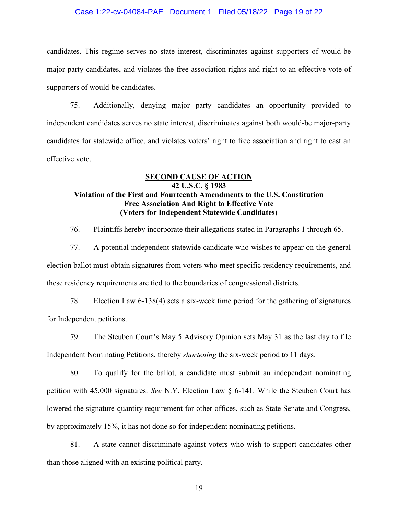#### Case 1:22-cv-04084-PAE Document 1 Filed 05/18/22 Page 19 of 22

candidates. This regime serves no state interest, discriminates against supporters of would-be major-party candidates, and violates the free-association rights and right to an effective vote of supporters of would-be candidates.

75. Additionally, denying major party candidates an opportunity provided to independent candidates serves no state interest, discriminates against both would-be major-party candidates for statewide office, and violates voters' right to free association and right to cast an effective vote.

# **SECOND CAUSE OF ACTION 42 U.S.C. § 1983 Violation of the First and Fourteenth Amendments to the U.S. Constitution Free Association And Right to Effective Vote (Voters for Independent Statewide Candidates)**

76. Plaintiffs hereby incorporate their allegations stated in Paragraphs 1 through 65.

77. A potential independent statewide candidate who wishes to appear on the general election ballot must obtain signatures from voters who meet specific residency requirements, and these residency requirements are tied to the boundaries of congressional districts.

78. Election Law 6-138(4) sets a six-week time period for the gathering of signatures for Independent petitions.

79. The Steuben Court's May 5 Advisory Opinion sets May 31 as the last day to file Independent Nominating Petitions, thereby *shortening* the six-week period to 11 days.

80. To qualify for the ballot, a candidate must submit an independent nominating petition with 45,000 signatures. *See* N.Y. Election Law § 6-141. While the Steuben Court has lowered the signature-quantity requirement for other offices, such as State Senate and Congress, by approximately 15%, it has not done so for independent nominating petitions.

81. A state cannot discriminate against voters who wish to support candidates other than those aligned with an existing political party.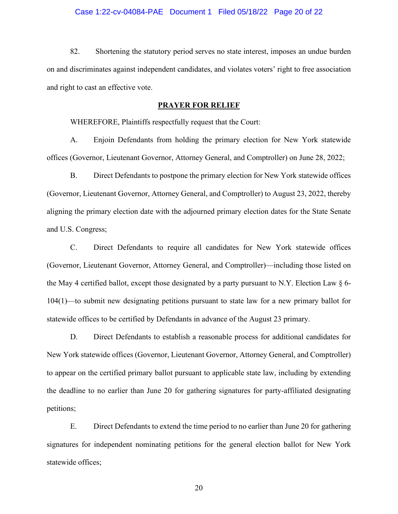#### Case 1:22-cv-04084-PAE Document 1 Filed 05/18/22 Page 20 of 22

82. Shortening the statutory period serves no state interest, imposes an undue burden on and discriminates against independent candidates, and violates voters' right to free association and right to cast an effective vote.

## **PRAYER FOR RELIEF**

WHEREFORE, Plaintiffs respectfully request that the Court:

A. Enjoin Defendants from holding the primary election for New York statewide offices (Governor, Lieutenant Governor, Attorney General, and Comptroller) on June 28, 2022;

B. Direct Defendants to postpone the primary election for New York statewide offices (Governor, Lieutenant Governor, Attorney General, and Comptroller) to August 23, 2022, thereby aligning the primary election date with the adjourned primary election dates for the State Senate and U.S. Congress;

C. Direct Defendants to require all candidates for New York statewide offices (Governor, Lieutenant Governor, Attorney General, and Comptroller)—including those listed on the May 4 certified ballot, except those designated by a party pursuant to N.Y. Election Law § 6- 104(1)—to submit new designating petitions pursuant to state law for a new primary ballot for statewide offices to be certified by Defendants in advance of the August 23 primary.

D. Direct Defendants to establish a reasonable process for additional candidates for New York statewide offices (Governor, Lieutenant Governor, Attorney General, and Comptroller) to appear on the certified primary ballot pursuant to applicable state law, including by extending the deadline to no earlier than June 20 for gathering signatures for party-affiliated designating petitions;

E. Direct Defendants to extend the time period to no earlier than June 20 for gathering signatures for independent nominating petitions for the general election ballot for New York statewide offices;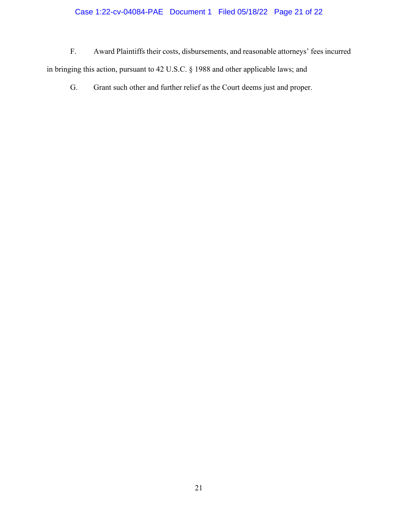# Case 1:22-cv-04084-PAE Document 1 Filed 05/18/22 Page 21 of 22

F. Award Plaintiffs their costs, disbursements, and reasonable attorneys' fees incurred in bringing this action, pursuant to 42 U.S.C. § 1988 and other applicable laws; and

G. Grant such other and further relief as the Court deems just and proper.